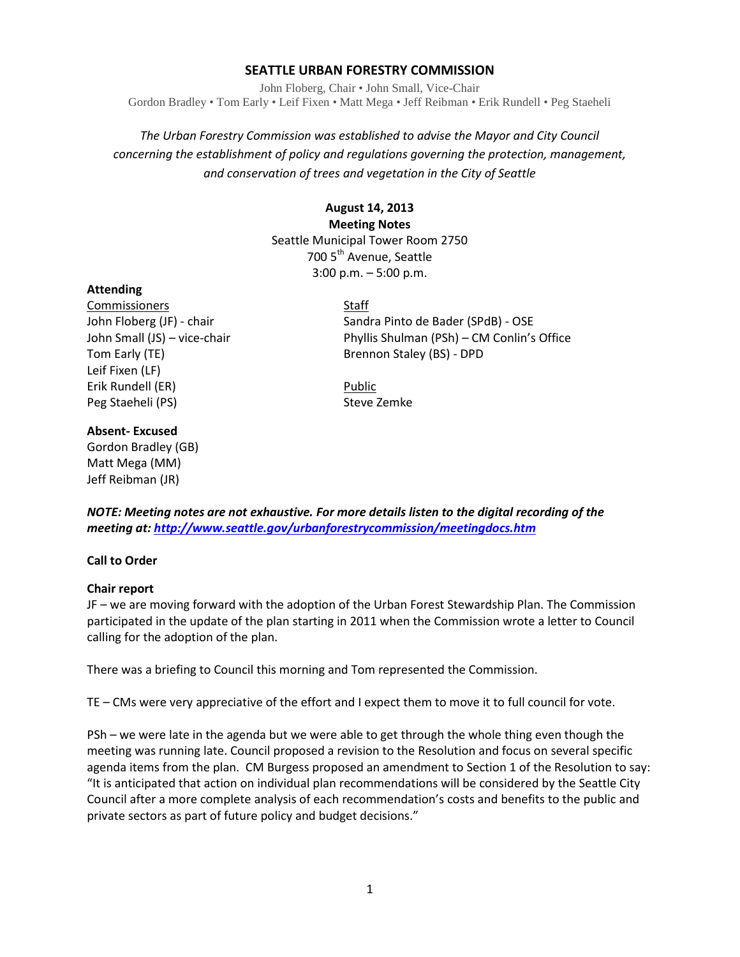# **SEATTLE URBAN FORESTRY COMMISSION**

John Floberg, Chair • John Small, Vice-Chair Gordon Bradley • Tom Early • Leif Fixen • Matt Mega • Jeff Reibman • Erik Rundell • Peg Staeheli

*The Urban Forestry Commission was established to advise the Mayor and City Council concerning the establishment of policy and regulations governing the protection, management, and conservation of trees and vegetation in the City of Seattle*

# **August 14, 2013 Meeting Notes** Seattle Municipal Tower Room 2750 700 5<sup>th</sup> Avenue, Seattle 3:00 p.m. – 5:00 p.m.

# **Attending**

Commissioners Staff Tom Early (TE) **Brennon Staley (BS)** - DPD Leif Fixen (LF) Erik Rundell (ER) Public Peg Staeheli (PS) Steve Zemke

John Floberg (JF) - chair Sandra Pinto de Bader (SPdB) - OSE John Small (JS) – vice-chair Phyllis Shulman (PSh) – CM Conlin's Office

*NOTE: Meeting notes are not exhaustive. For more details listen to the digital recording of the meeting at[: http://www.seattle.gov/urbanforestrycommission/meetingdocs.htm](http://www.seattle.gov/urbanforestrycommission/meetingdocs.htm)*

# **Call to Order**

**Absent- Excused** Gordon Bradley (GB) Matt Mega (MM) Jeff Reibman (JR)

# **Chair report**

JF – we are moving forward with the adoption of the Urban Forest Stewardship Plan. The Commission participated in the update of the plan starting in 2011 when the Commission wrote a letter to Council calling for the adoption of the plan.

There was a briefing to Council this morning and Tom represented the Commission.

TE – CMs were very appreciative of the effort and I expect them to move it to full council for vote.

PSh – we were late in the agenda but we were able to get through the whole thing even though the meeting was running late. Council proposed a revision to the Resolution and focus on several specific agenda items from the plan. CM Burgess proposed an amendment to Section 1 of the Resolution to say: "It is anticipated that action on individual plan recommendations will be considered by the Seattle City Council after a more complete analysis of each recommendation's costs and benefits to the public and private sectors as part of future policy and budget decisions."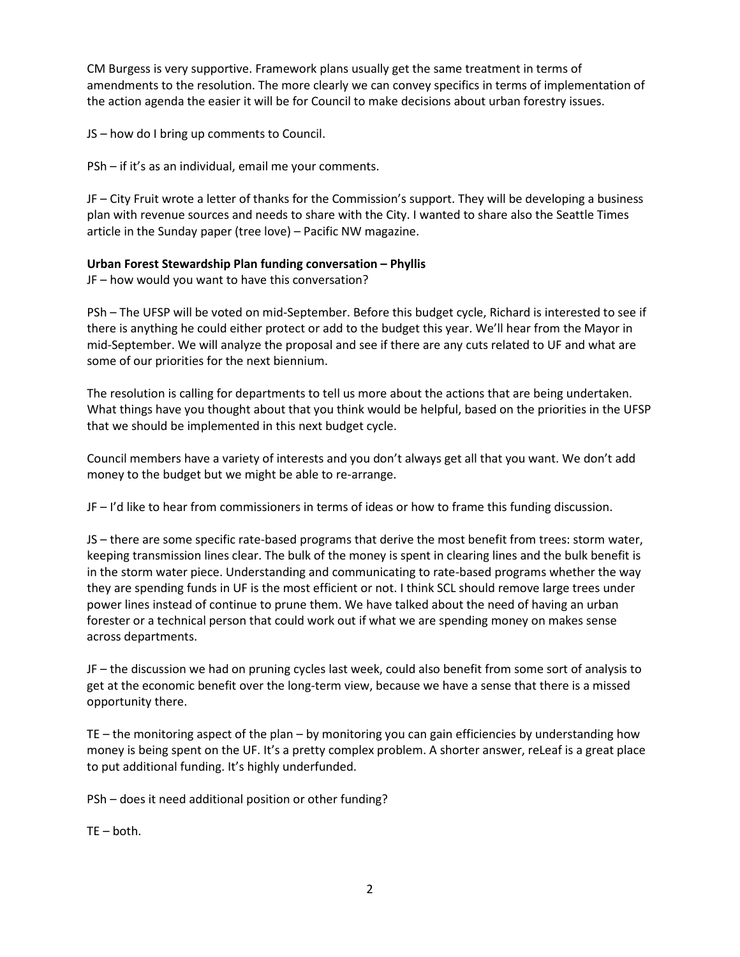CM Burgess is very supportive. Framework plans usually get the same treatment in terms of amendments to the resolution. The more clearly we can convey specifics in terms of implementation of the action agenda the easier it will be for Council to make decisions about urban forestry issues.

JS – how do I bring up comments to Council.

PSh – if it's as an individual, email me your comments.

JF – City Fruit wrote a letter of thanks for the Commission's support. They will be developing a business plan with revenue sources and needs to share with the City. I wanted to share also the Seattle Times article in the Sunday paper (tree love) – Pacific NW magazine.

# **Urban Forest Stewardship Plan funding conversation – Phyllis**

JF – how would you want to have this conversation?

PSh – The UFSP will be voted on mid-September. Before this budget cycle, Richard is interested to see if there is anything he could either protect or add to the budget this year. We'll hear from the Mayor in mid-September. We will analyze the proposal and see if there are any cuts related to UF and what are some of our priorities for the next biennium.

The resolution is calling for departments to tell us more about the actions that are being undertaken. What things have you thought about that you think would be helpful, based on the priorities in the UFSP that we should be implemented in this next budget cycle.

Council members have a variety of interests and you don't always get all that you want. We don't add money to the budget but we might be able to re-arrange.

JF – I'd like to hear from commissioners in terms of ideas or how to frame this funding discussion.

JS – there are some specific rate-based programs that derive the most benefit from trees: storm water, keeping transmission lines clear. The bulk of the money is spent in clearing lines and the bulk benefit is in the storm water piece. Understanding and communicating to rate-based programs whether the way they are spending funds in UF is the most efficient or not. I think SCL should remove large trees under power lines instead of continue to prune them. We have talked about the need of having an urban forester or a technical person that could work out if what we are spending money on makes sense across departments.

JF – the discussion we had on pruning cycles last week, could also benefit from some sort of analysis to get at the economic benefit over the long-term view, because we have a sense that there is a missed opportunity there.

TE – the monitoring aspect of the plan – by monitoring you can gain efficiencies by understanding how money is being spent on the UF. It's a pretty complex problem. A shorter answer, reLeaf is a great place to put additional funding. It's highly underfunded.

PSh – does it need additional position or other funding?

 $TE - both.$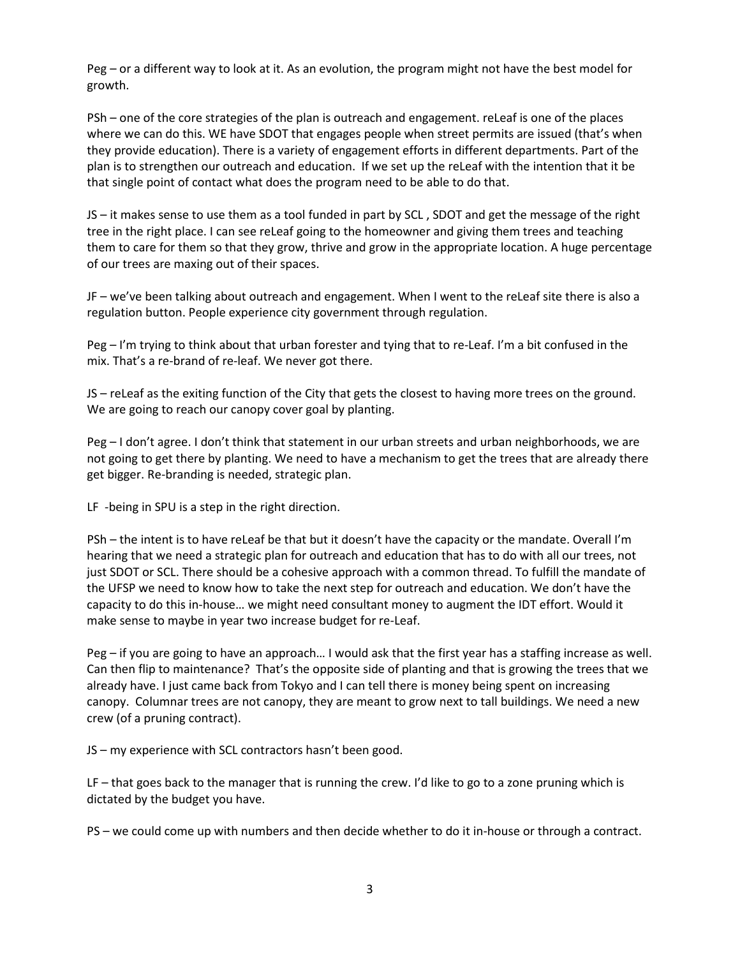Peg – or a different way to look at it. As an evolution, the program might not have the best model for growth.

PSh – one of the core strategies of the plan is outreach and engagement. reLeaf is one of the places where we can do this. WE have SDOT that engages people when street permits are issued (that's when they provide education). There is a variety of engagement efforts in different departments. Part of the plan is to strengthen our outreach and education. If we set up the reLeaf with the intention that it be that single point of contact what does the program need to be able to do that.

JS – it makes sense to use them as a tool funded in part by SCL , SDOT and get the message of the right tree in the right place. I can see reLeaf going to the homeowner and giving them trees and teaching them to care for them so that they grow, thrive and grow in the appropriate location. A huge percentage of our trees are maxing out of their spaces.

JF – we've been talking about outreach and engagement. When I went to the reLeaf site there is also a regulation button. People experience city government through regulation.

Peg – I'm trying to think about that urban forester and tying that to re-Leaf. I'm a bit confused in the mix. That's a re-brand of re-leaf. We never got there.

JS – reLeaf as the exiting function of the City that gets the closest to having more trees on the ground. We are going to reach our canopy cover goal by planting.

Peg – I don't agree. I don't think that statement in our urban streets and urban neighborhoods, we are not going to get there by planting. We need to have a mechanism to get the trees that are already there get bigger. Re-branding is needed, strategic plan.

LF -being in SPU is a step in the right direction.

PSh – the intent is to have reLeaf be that but it doesn't have the capacity or the mandate. Overall I'm hearing that we need a strategic plan for outreach and education that has to do with all our trees, not just SDOT or SCL. There should be a cohesive approach with a common thread. To fulfill the mandate of the UFSP we need to know how to take the next step for outreach and education. We don't have the capacity to do this in-house… we might need consultant money to augment the IDT effort. Would it make sense to maybe in year two increase budget for re-Leaf.

Peg – if you are going to have an approach… I would ask that the first year has a staffing increase as well. Can then flip to maintenance? That's the opposite side of planting and that is growing the trees that we already have. I just came back from Tokyo and I can tell there is money being spent on increasing canopy. Columnar trees are not canopy, they are meant to grow next to tall buildings. We need a new crew (of a pruning contract).

JS – my experience with SCL contractors hasn't been good.

LF – that goes back to the manager that is running the crew. I'd like to go to a zone pruning which is dictated by the budget you have.

PS – we could come up with numbers and then decide whether to do it in-house or through a contract.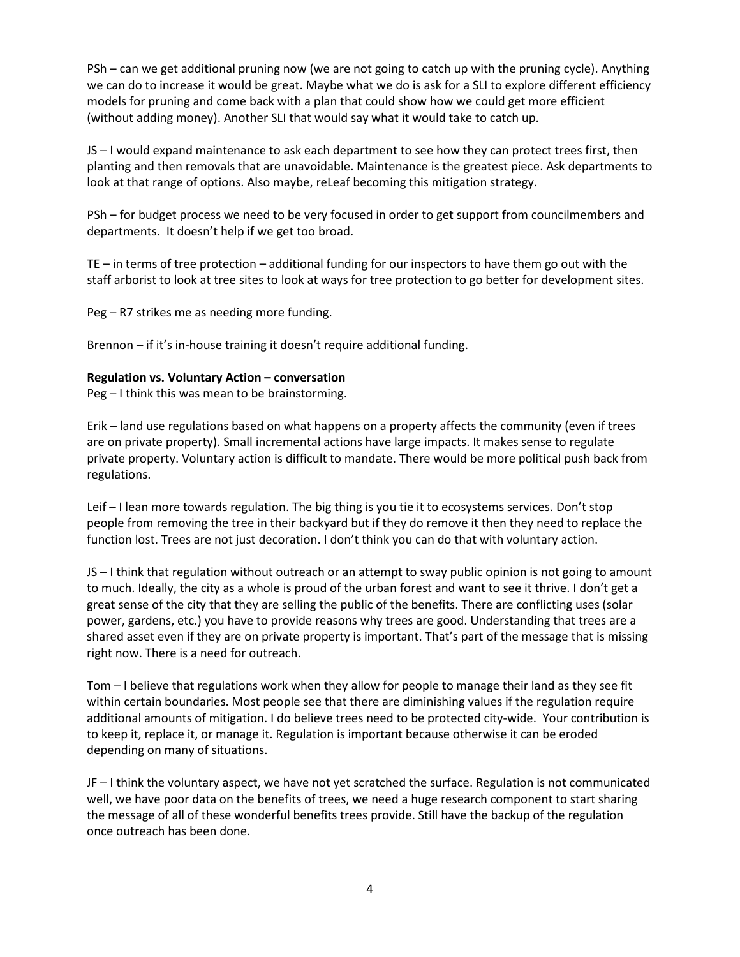PSh – can we get additional pruning now (we are not going to catch up with the pruning cycle). Anything we can do to increase it would be great. Maybe what we do is ask for a SLI to explore different efficiency models for pruning and come back with a plan that could show how we could get more efficient (without adding money). Another SLI that would say what it would take to catch up.

JS – I would expand maintenance to ask each department to see how they can protect trees first, then planting and then removals that are unavoidable. Maintenance is the greatest piece. Ask departments to look at that range of options. Also maybe, reLeaf becoming this mitigation strategy.

PSh – for budget process we need to be very focused in order to get support from councilmembers and departments. It doesn't help if we get too broad.

TE – in terms of tree protection – additional funding for our inspectors to have them go out with the staff arborist to look at tree sites to look at ways for tree protection to go better for development sites.

Peg – R7 strikes me as needing more funding.

Brennon – if it's in-house training it doesn't require additional funding.

### **Regulation vs. Voluntary Action – conversation**

Peg – I think this was mean to be brainstorming.

Erik – land use regulations based on what happens on a property affects the community (even if trees are on private property). Small incremental actions have large impacts. It makes sense to regulate private property. Voluntary action is difficult to mandate. There would be more political push back from regulations.

Leif – I lean more towards regulation. The big thing is you tie it to ecosystems services. Don't stop people from removing the tree in their backyard but if they do remove it then they need to replace the function lost. Trees are not just decoration. I don't think you can do that with voluntary action.

JS – I think that regulation without outreach or an attempt to sway public opinion is not going to amount to much. Ideally, the city as a whole is proud of the urban forest and want to see it thrive. I don't get a great sense of the city that they are selling the public of the benefits. There are conflicting uses (solar power, gardens, etc.) you have to provide reasons why trees are good. Understanding that trees are a shared asset even if they are on private property is important. That's part of the message that is missing right now. There is a need for outreach.

Tom – I believe that regulations work when they allow for people to manage their land as they see fit within certain boundaries. Most people see that there are diminishing values if the regulation require additional amounts of mitigation. I do believe trees need to be protected city-wide. Your contribution is to keep it, replace it, or manage it. Regulation is important because otherwise it can be eroded depending on many of situations.

JF – I think the voluntary aspect, we have not yet scratched the surface. Regulation is not communicated well, we have poor data on the benefits of trees, we need a huge research component to start sharing the message of all of these wonderful benefits trees provide. Still have the backup of the regulation once outreach has been done.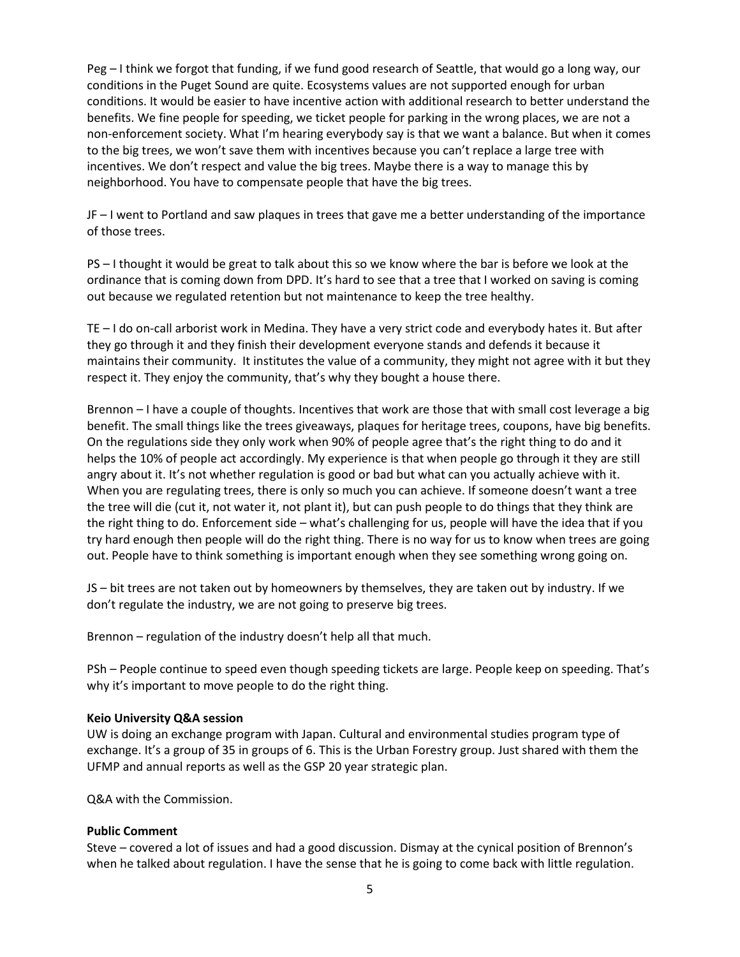Peg – I think we forgot that funding, if we fund good research of Seattle, that would go a long way, our conditions in the Puget Sound are quite. Ecosystems values are not supported enough for urban conditions. It would be easier to have incentive action with additional research to better understand the benefits. We fine people for speeding, we ticket people for parking in the wrong places, we are not a non-enforcement society. What I'm hearing everybody say is that we want a balance. But when it comes to the big trees, we won't save them with incentives because you can't replace a large tree with incentives. We don't respect and value the big trees. Maybe there is a way to manage this by neighborhood. You have to compensate people that have the big trees.

JF – I went to Portland and saw plaques in trees that gave me a better understanding of the importance of those trees.

PS – I thought it would be great to talk about this so we know where the bar is before we look at the ordinance that is coming down from DPD. It's hard to see that a tree that I worked on saving is coming out because we regulated retention but not maintenance to keep the tree healthy.

TE – I do on-call arborist work in Medina. They have a very strict code and everybody hates it. But after they go through it and they finish their development everyone stands and defends it because it maintains their community. It institutes the value of a community, they might not agree with it but they respect it. They enjoy the community, that's why they bought a house there.

Brennon – I have a couple of thoughts. Incentives that work are those that with small cost leverage a big benefit. The small things like the trees giveaways, plaques for heritage trees, coupons, have big benefits. On the regulations side they only work when 90% of people agree that's the right thing to do and it helps the 10% of people act accordingly. My experience is that when people go through it they are still angry about it. It's not whether regulation is good or bad but what can you actually achieve with it. When you are regulating trees, there is only so much you can achieve. If someone doesn't want a tree the tree will die (cut it, not water it, not plant it), but can push people to do things that they think are the right thing to do. Enforcement side – what's challenging for us, people will have the idea that if you try hard enough then people will do the right thing. There is no way for us to know when trees are going out. People have to think something is important enough when they see something wrong going on.

JS – bit trees are not taken out by homeowners by themselves, they are taken out by industry. If we don't regulate the industry, we are not going to preserve big trees.

Brennon – regulation of the industry doesn't help all that much.

PSh – People continue to speed even though speeding tickets are large. People keep on speeding. That's why it's important to move people to do the right thing.

### **Keio University Q&A session**

UW is doing an exchange program with Japan. Cultural and environmental studies program type of exchange. It's a group of 35 in groups of 6. This is the Urban Forestry group. Just shared with them the UFMP and annual reports as well as the GSP 20 year strategic plan.

Q&A with the Commission.

# **Public Comment**

Steve – covered a lot of issues and had a good discussion. Dismay at the cynical position of Brennon's when he talked about regulation. I have the sense that he is going to come back with little regulation.